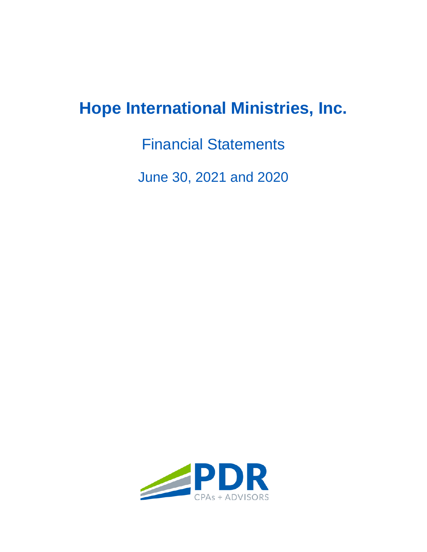# **Hope International Ministries, Inc.**

Financial Statements

June 30, 2021 and 2020

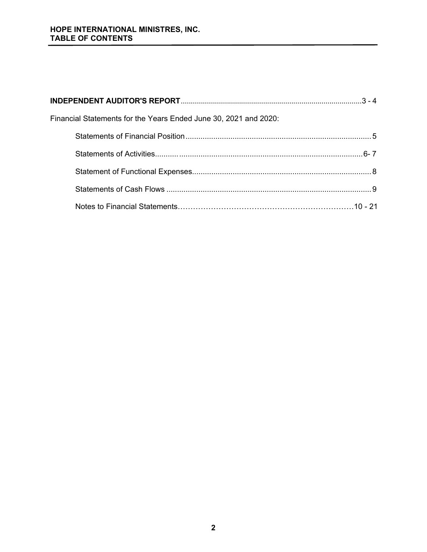# **HOPE INTERNATIONAL MINISTRES, INC. TABLE OF CONTENTS**

| Financial Statements for the Years Ended June 30, 2021 and 2020: |  |
|------------------------------------------------------------------|--|
|                                                                  |  |
|                                                                  |  |
|                                                                  |  |
|                                                                  |  |
|                                                                  |  |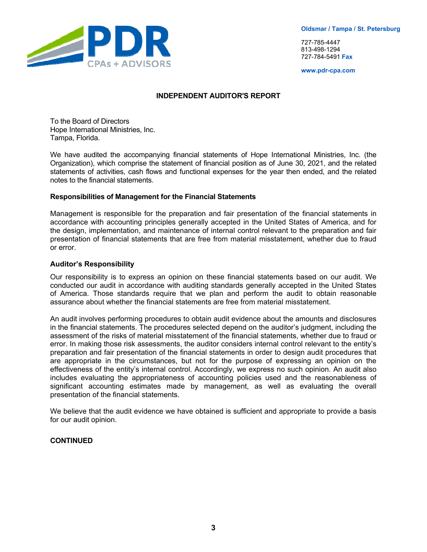

727-785-4447 813-498-1294 727-784-5491 **Fax**

**www.pdr-cpa.com** 

#### **INDEPENDENT AUDITOR'S REPORT**

To the Board of Directors Hope International Ministries, Inc. Tampa, Florida.

We have audited the accompanying financial statements of Hope International Ministries, Inc. (the Organization), which comprise the statement of financial position as of June 30, 2021, and the related statements of activities, cash flows and functional expenses for the year then ended, and the related notes to the financial statements.

#### **Responsibilities of Management for the Financial Statements**

Management is responsible for the preparation and fair presentation of the financial statements in accordance with accounting principles generally accepted in the United States of America, and for the design, implementation, and maintenance of internal control relevant to the preparation and fair presentation of financial statements that are free from material misstatement, whether due to fraud or error.

#### **Auditor's Responsibility**

Our responsibility is to express an opinion on these financial statements based on our audit. We conducted our audit in accordance with auditing standards generally accepted in the United States of America. Those standards require that we plan and perform the audit to obtain reasonable assurance about whether the financial statements are free from material misstatement.

An audit involves performing procedures to obtain audit evidence about the amounts and disclosures in the financial statements. The procedures selected depend on the auditor's judgment, including the assessment of the risks of material misstatement of the financial statements, whether due to fraud or error. In making those risk assessments, the auditor considers internal control relevant to the entity's preparation and fair presentation of the financial statements in order to design audit procedures that are appropriate in the circumstances, but not for the purpose of expressing an opinion on the effectiveness of the entity's internal control. Accordingly, we express no such opinion. An audit also includes evaluating the appropriateness of accounting policies used and the reasonableness of significant accounting estimates made by management, as well as evaluating the overall presentation of the financial statements.

We believe that the audit evidence we have obtained is sufficient and appropriate to provide a basis for our audit opinion.

## **CONTINUED**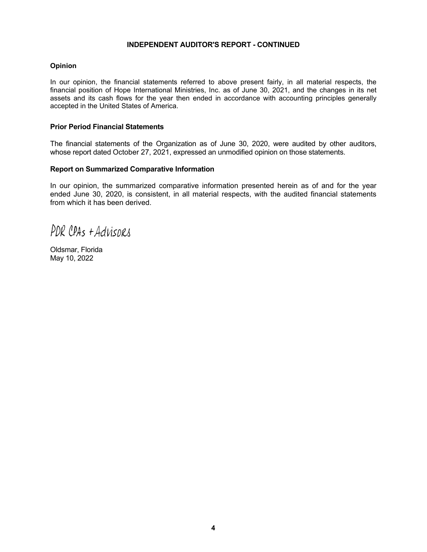#### **INDEPENDENT AUDITOR'S REPORT - CONTINUED**

#### **Opinion**

In our opinion, the financial statements referred to above present fairly, in all material respects, the financial position of Hope International Ministries, Inc. as of June 30, 2021, and the changes in its net assets and its cash flows for the year then ended in accordance with accounting principles generally accepted in the United States of America.

#### **Prior Period Financial Statements**

The financial statements of the Organization as of June 30, 2020, were audited by other auditors, whose report dated October 27, 2021, expressed an unmodified opinion on those statements.

#### **Report on Summarized Comparative Information**

In our opinion, the summarized comparative information presented herein as of and for the year ended June 30, 2020, is consistent, in all material respects, with the audited financial statements from which it has been derived.

PDR CPAS + Advisors

Oldsmar, Florida May 10, 2022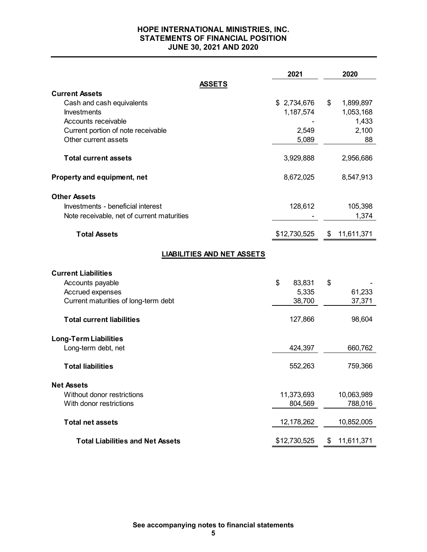## **HOPE INTERNATIONAL MINISTRIES, INC. STATEMENTS OF FINANCIAL POSITION JUNE 30, 2021 AND 2020**

|                                                 | 2021         | 2020             |
|-------------------------------------------------|--------------|------------------|
| <b>ASSETS</b>                                   |              |                  |
| <b>Current Assets</b>                           |              |                  |
| Cash and cash equivalents                       | \$2,734,676  | \$<br>1,899,897  |
| Investments                                     | 1,187,574    | 1,053,168        |
| Accounts receivable                             |              | 1,433            |
| Current portion of note receivable              | 2,549        | 2,100            |
| Other current assets                            | 5,089        | 88               |
| <b>Total current assets</b>                     | 3,929,888    | 2,956,686        |
| Property and equipment, net                     | 8,672,025    | 8,547,913        |
| <b>Other Assets</b>                             |              |                  |
| Investments - beneficial interest               | 128,612      | 105,398          |
| Note receivable, net of current maturities      |              | 1,374            |
| <b>Total Assets</b>                             | \$12,730,525 | \$<br>11,611,371 |
| <b>LIABILITIES AND NET ASSETS</b>               |              |                  |
|                                                 |              |                  |
| <b>Current Liabilities</b>                      |              |                  |
| Accounts payable                                | \$<br>83,831 | \$               |
| Accrued expenses                                | 5,335        | 61,233           |
| Current maturities of long-term debt            | 38,700       | 37,371           |
| <b>Total current liabilities</b>                | 127,866      | 98,604           |
| <b>Long-Term Liabilities</b>                    |              |                  |
| Long-term debt, net                             | 424,397      | 660,762          |
| <b>Total liabilities</b>                        | 552,263      | 759,366          |
|                                                 |              |                  |
| <b>Net Assets</b><br>Without donor restrictions |              |                  |
| With donor restrictions                         | 11,373,693   | 10,063,989       |
|                                                 | 804,569      | 788,016          |
| <b>Total net assets</b>                         | 12,178,262   | 10,852,005       |
| <b>Total Liabilities and Net Assets</b>         | \$12,730,525 | 11,611,371<br>\$ |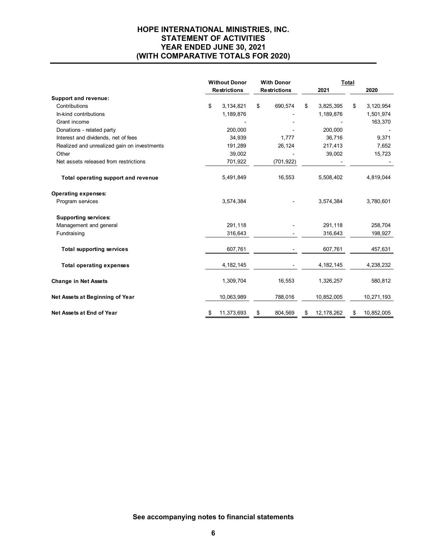# **HOPE INTERNATIONAL MINISTRIES, INC. STATEMENT OF ACTIVITIES YEAR ENDED JUNE 30, 2021 (WITH COMPARATIVE TOTALS FOR 2020)**

|                                             | <b>Without Donor</b> |    | <b>With Donor</b>   |    | Total        |    |            |
|---------------------------------------------|----------------------|----|---------------------|----|--------------|----|------------|
|                                             | <b>Restrictions</b>  |    | <b>Restrictions</b> |    | 2021         |    | 2020       |
| Support and revenue:                        |                      |    |                     |    |              |    |            |
| Contributions                               | \$<br>3,134,821      | \$ | 690,574             | \$ | 3,825,395    | \$ | 3,120,954  |
| In-kind contributions                       | 1,189,876            |    |                     |    | 1,189,876    |    | 1,501,974  |
| Grant income                                |                      |    |                     |    |              |    | 163,370    |
| Donations - related party                   | 200,000              |    |                     |    | 200,000      |    |            |
| Interest and dividends, net of fees         | 34,939               |    | 1,777               |    | 36,716       |    | 9,371      |
| Realized and unrealized gain on investments | 191,289              |    | 26,124              |    | 217,413      |    | 7,652      |
| Other                                       | 39,002               |    |                     |    | 39,002       |    | 15,723     |
| Net assets released from restrictions       | 701,922              |    | (701, 922)          |    |              |    |            |
| Total operating support and revenue         | 5,491,849            |    | 16,553              |    | 5,508,402    |    | 4,819,044  |
| <b>Operating expenses:</b>                  |                      |    |                     |    |              |    |            |
| Program services                            | 3,574,384            |    |                     |    | 3,574,384    |    | 3,780,601  |
| <b>Supporting services:</b>                 |                      |    |                     |    |              |    |            |
| Management and general                      | 291,118              |    |                     |    | 291,118      |    | 258,704    |
| Fundraising                                 | 316,643              |    |                     |    | 316,643      |    | 198,927    |
| <b>Total supporting services</b>            | 607,761              |    |                     |    | 607,761      |    | 457,631    |
| <b>Total operating expenses</b>             | 4, 182, 145          |    |                     |    | 4, 182, 145  |    | 4,238,232  |
| <b>Change in Net Assets</b>                 | 1,309,704            |    | 16,553              |    | 1,326,257    |    | 580,812    |
| Net Assets at Beginning of Year             | 10,063,989           |    | 788,016             |    | 10,852,005   |    | 10,271,193 |
| Net Assets at End of Year                   | \$<br>11,373,693     | \$ | 804,569             | S  | 12, 178, 262 | \$ | 10,852,005 |

**See accompanying notes to financial statements**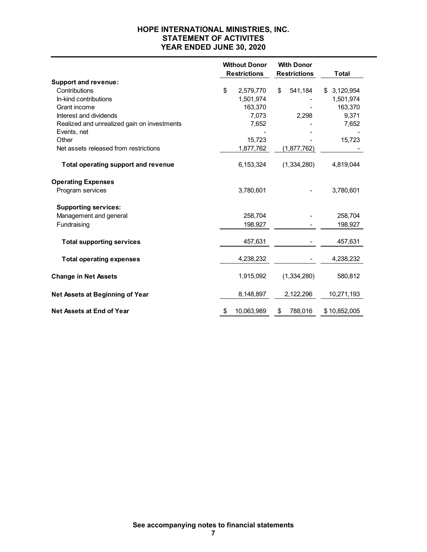# **HOPE INTERNATIONAL MINISTRIES, INC. STATEMENT OF ACTIVITES YEAR ENDED JUNE 30, 2020**

|                                                            | <b>Without Donor</b><br><b>Restrictions</b> |            | <b>With Donor</b><br><b>Restrictions</b> |             | <b>Total</b>    |
|------------------------------------------------------------|---------------------------------------------|------------|------------------------------------------|-------------|-----------------|
| <b>Support and revenue:</b>                                |                                             |            |                                          |             |                 |
| Contributions                                              | \$                                          | 2,579,770  | \$                                       | 541,184     | 3,120,954<br>\$ |
| In-kind contributions                                      |                                             | 1,501,974  |                                          |             | 1,501,974       |
| Grant income                                               |                                             | 163,370    |                                          |             | 163,370         |
| Interest and dividends                                     |                                             | 7,073      |                                          | 2,298       | 9,371           |
| Realized and unrealized gain on investments<br>Events, net |                                             | 7,652      |                                          |             | 7,652           |
| Other                                                      |                                             | 15,723     |                                          |             | 15,723          |
| Net assets released from restrictions                      |                                             | 1,877,762  |                                          | (1,877,762) |                 |
| <b>Total operating support and revenue</b>                 |                                             | 6,153,324  |                                          | (1,334,280) | 4,819,044       |
| <b>Operating Expenses</b>                                  |                                             |            |                                          |             |                 |
| Program services                                           |                                             | 3,780,601  |                                          |             | 3,780,601       |
| <b>Supporting services:</b>                                |                                             |            |                                          |             |                 |
| Management and general                                     |                                             | 258,704    |                                          |             | 258,704         |
| Fundraising                                                |                                             | 198,927    |                                          |             | 198,927         |
| <b>Total supporting services</b>                           |                                             | 457,631    |                                          |             | 457,631         |
| <b>Total operating expenses</b>                            |                                             | 4,238,232  |                                          |             | 4,238,232       |
| <b>Change in Net Assets</b>                                |                                             | 1,915,092  |                                          | (1,334,280) | 580,812         |
| Net Assets at Beginning of Year                            |                                             | 8,148,897  |                                          | 2,122,296   | 10,271,193      |
| <b>Net Assets at End of Year</b>                           | \$                                          | 10,063,989 | \$                                       | 788,016     | \$10,852,005    |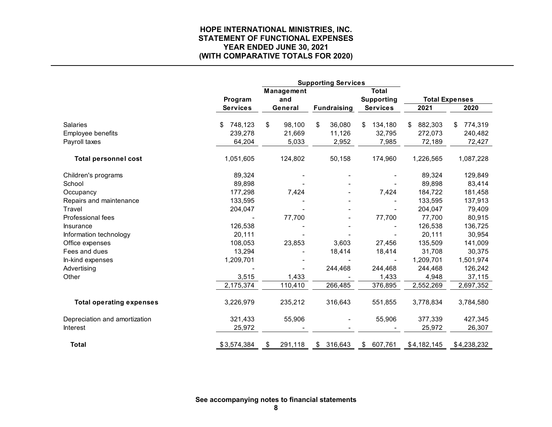# **HOPE INTERNATIONAL MINISTRIES, INC. STATEMENT OF FUNCTIONAL EXPENSES YEAR ENDED JUNE 30, 2021 (WITH COMPARATIVE TOTALS FOR 2020)**

|                                 |                 | Management    |                    | <b>Total</b>      |               |                       |
|---------------------------------|-----------------|---------------|--------------------|-------------------|---------------|-----------------------|
|                                 | Program         | and           |                    | <b>Supporting</b> |               | <b>Total Expenses</b> |
|                                 | <b>Services</b> | General       | <b>Fundraising</b> | <b>Services</b>   | 2021          | 2020                  |
| <b>Salaries</b>                 | 748,123<br>\$   | \$<br>98,100  | \$<br>36,080       | 134,180<br>\$     | 882,303<br>\$ | 774,319<br>\$.        |
| Employee benefits               | 239,278         | 21,669        | 11,126             | 32,795            | 272,073       | 240,482               |
| Payroll taxes                   | 64,204          | 5,033         | 2,952              | 7,985             | 72,189        | 72,427                |
| <b>Total personnel cost</b>     | 1,051,605       | 124,802       | 50,158             | 174,960           | 1,226,565     | 1,087,228             |
| Children's programs             | 89,324          |               |                    |                   | 89,324        | 129,849               |
| School                          | 89,898          |               |                    |                   | 89,898        | 83,414                |
| Occupancy                       | 177,298         | 7,424         |                    | 7,424             | 184,722       | 181,458               |
| Repairs and maintenance         | 133,595         |               |                    |                   | 133,595       | 137,913               |
| Travel                          | 204,047         |               |                    |                   | 204,047       | 79,409                |
| Professional fees               |                 | 77,700        |                    | 77,700            | 77,700        | 80,915                |
| <b>Insurance</b>                | 126,538         |               |                    |                   | 126,538       | 136,725               |
| Information technology          | 20,111          |               |                    |                   | 20,111        | 30,954                |
| Office expenses                 | 108,053         | 23,853        | 3,603              | 27,456            | 135,509       | 141,009               |
| Fees and dues                   | 13,294          |               | 18,414             | 18,414            | 31,708        | 30,375                |
| In-kind expenses                | 1,209,701       |               |                    |                   | 1,209,701     | 1,501,974             |
| Advertising                     |                 |               | 244,468            | 244,468           | 244,468       | 126,242               |
| Other                           | 3,515           | 1,433         |                    | 1,433             | 4,948         | 37,115                |
|                                 | 2,175,374       | 110,410       | 266,485            | 376,895           | 2,552,269     | 2,697,352             |
| <b>Total operating expenses</b> | 3,226,979       | 235,212       | 316,643            | 551,855           | 3,778,834     | 3,784,580             |
| Depreciation and amortization   | 321,433         | 55,906        |                    | 55,906            | 377,339       | 427,345               |
| <b>Interest</b>                 | 25,972          |               |                    |                   | 25,972        | 26,307                |
| <b>Total</b>                    | \$3,574,384     | \$<br>291,118 | \$316,643          | \$607,761         | \$4,182,145   | \$4,238,232           |

**See accompanying notes to financial statements**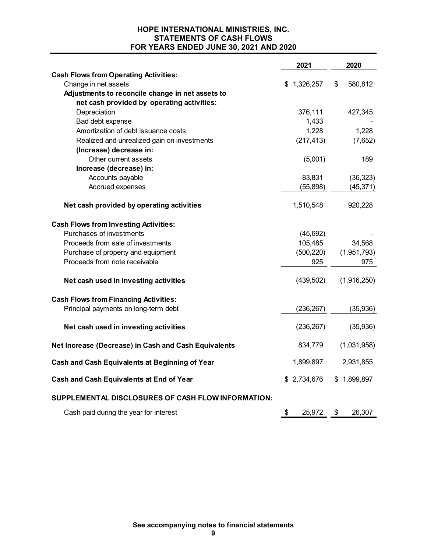# **HOPE INTERNATIONAL MINISTRIES, INC. STATEMENTS OF CASH FLOWS FOR YEARS ENDED JUNE 30, 2021 AND 2020**

|                                                      | 2021         | 2020          |
|------------------------------------------------------|--------------|---------------|
| <b>Cash Flows from Operating Activities:</b>         |              |               |
| Change in net assets                                 | \$1,326,257  | \$<br>580,812 |
| Adjustments to reconcile change in net assets to     |              |               |
| net cash provided by operating activities:           |              |               |
| Depreciation                                         | 376,111      | 427,345       |
| Bad debt expense                                     | 1,433        |               |
| Amortization of debt issuance costs                  | 1,228        | 1,228         |
| Realized and unrealized gain on investments          | (217, 413)   | (7,652)       |
| (Increase) decrease in:                              |              |               |
| Other current assets                                 | (5,001)      | 189           |
| Increase (decrease) in:                              |              |               |
| Accounts payable                                     | 83,831       | (36, 323)     |
| Accrued expenses                                     | (55,898)     | (45, 371)     |
| Net cash provided by operating activities            | 1,510,548    | 920,228       |
| <b>Cash Flows from Investing Activities:</b>         |              |               |
| Purchases of investments                             | (45, 692)    |               |
| Proceeds from sale of investments                    | 105,485      | 34,568        |
| Purchase of property and equipment                   | (500, 220)   | (1,951,793)   |
| Proceeds from note receivable                        | 925          | 975           |
| Net cash used in investing activities                | (439, 502)   | (1,916,250)   |
| <b>Cash Flows from Financing Activities:</b>         |              |               |
| Principal payments on long-term debt                 | (236, 267)   | (35, 936)     |
| Net cash used in investing activities                | (236, 267)   | (35, 936)     |
| Net Increase (Decrease) in Cash and Cash Equivalents | 834,779      | (1,031,958)   |
| Cash and Cash Equivalents at Beginning of Year       | 1,899,897    | 2,931,855     |
| Cash and Cash Equivalents at End of Year             | \$2,734,676  | \$1,899,897   |
| SUPPLEMENTAL DISCLOSURES OF CASH FLOW INFORMATION:   |              |               |
| Cash paid during the year for interest               | \$<br>25,972 | \$<br>26,307  |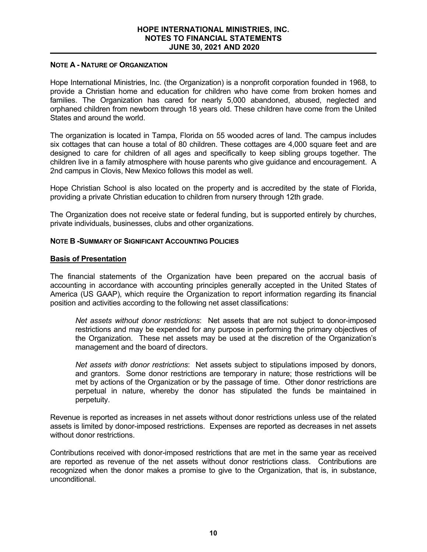## **NOTE A - NATURE OF ORGANIZATION**

Hope International Ministries, Inc. (the Organization) is a nonprofit corporation founded in 1968, to provide a Christian home and education for children who have come from broken homes and families. The Organization has cared for nearly 5,000 abandoned, abused, neglected and orphaned children from newborn through 18 years old. These children have come from the United States and around the world.

The organization is located in Tampa, Florida on 55 wooded acres of land. The campus includes six cottages that can house a total of 80 children. These cottages are 4,000 square feet and are designed to care for children of all ages and specifically to keep sibling groups together. The children live in a family atmosphere with house parents who give guidance and encouragement. A 2nd campus in Clovis, New Mexico follows this model as well.

Hope Christian School is also located on the property and is accredited by the state of Florida, providing a private Christian education to children from nursery through 12th grade.

The Organization does not receive state or federal funding, but is supported entirely by churches, private individuals, businesses, clubs and other organizations.

### **NOTE B -SUMMARY OF SIGNIFICANT ACCOUNTING POLICIES**

### **Basis of Presentation**

The financial statements of the Organization have been prepared on the accrual basis of accounting in accordance with accounting principles generally accepted in the United States of America (US GAAP), which require the Organization to report information regarding its financial position and activities according to the following net asset classifications:

*Net assets without donor restrictions*: Net assets that are not subject to donor-imposed restrictions and may be expended for any purpose in performing the primary objectives of the Organization. These net assets may be used at the discretion of the Organization's management and the board of directors.

*Net assets with donor restrictions*: Net assets subject to stipulations imposed by donors, and grantors. Some donor restrictions are temporary in nature; those restrictions will be met by actions of the Organization or by the passage of time. Other donor restrictions are perpetual in nature, whereby the donor has stipulated the funds be maintained in perpetuity.

Revenue is reported as increases in net assets without donor restrictions unless use of the related assets is limited by donor-imposed restrictions. Expenses are reported as decreases in net assets without donor restrictions.

Contributions received with donor-imposed restrictions that are met in the same year as received are reported as revenue of the net assets without donor restrictions class. Contributions are recognized when the donor makes a promise to give to the Organization, that is, in substance, unconditional.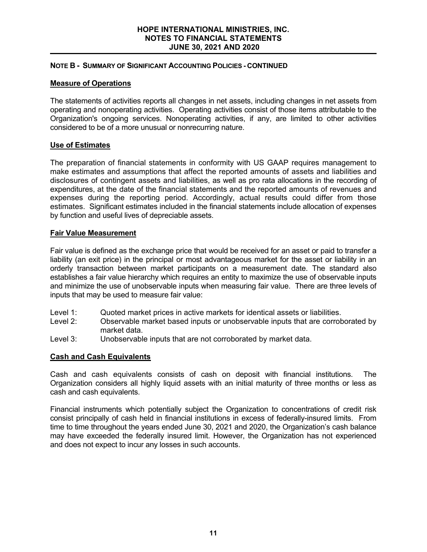#### **HOPE INTERNATIONAL MINISTRIES, INC. NOTES TO FINANCIAL STATEMENTS JUNE 30, 2021 AND 2020**

## **NOTE B - SUMMARY OF SIGNIFICANT ACCOUNTING POLICIES - CONTINUED**

# **Measure of Operations**

The statements of activities reports all changes in net assets, including changes in net assets from operating and nonoperating activities. Operating activities consist of those items attributable to the Organization's ongoing services. Nonoperating activities, if any, are limited to other activities considered to be of a more unusual or nonrecurring nature.

# **Use of Estimates**

The preparation of financial statements in conformity with US GAAP requires management to make estimates and assumptions that affect the reported amounts of assets and liabilities and disclosures of contingent assets and liabilities, as well as pro rata allocations in the recording of expenditures, at the date of the financial statements and the reported amounts of revenues and expenses during the reporting period. Accordingly, actual results could differ from those estimates. Significant estimates included in the financial statements include allocation of expenses by function and useful lives of depreciable assets.

# **Fair Value Measurement**

Fair value is defined as the exchange price that would be received for an asset or paid to transfer a liability (an exit price) in the principal or most advantageous market for the asset or liability in an orderly transaction between market participants on a measurement date. The standard also establishes a fair value hierarchy which requires an entity to maximize the use of observable inputs and minimize the use of unobservable inputs when measuring fair value. There are three levels of inputs that may be used to measure fair value:

- Level 1: Quoted market prices in active markets for identical assets or liabilities.
- Level 2: Observable market based inputs or unobservable inputs that are corroborated by market data.
- Level 3: Unobservable inputs that are not corroborated by market data.

# **Cash and Cash Equivalents**

Cash and cash equivalents consists of cash on deposit with financial institutions. The Organization considers all highly liquid assets with an initial maturity of three months or less as cash and cash equivalents.

Financial instruments which potentially subject the Organization to concentrations of credit risk consist principally of cash held in financial institutions in excess of federally-insured limits. From time to time throughout the years ended June 30, 2021 and 2020, the Organization's cash balance may have exceeded the federally insured limit. However, the Organization has not experienced and does not expect to incur any losses in such accounts.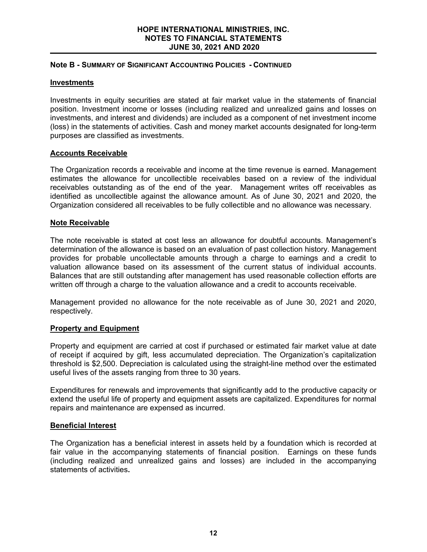## **Note B - SUMMARY OF SIGNIFICANT ACCOUNTING POLICIES - CONTINUED**

## **Investments**

Investments in equity securities are stated at fair market value in the statements of financial position. Investment income or losses (including realized and unrealized gains and losses on investments, and interest and dividends) are included as a component of net investment income (loss) in the statements of activities. Cash and money market accounts designated for long-term purposes are classified as investments.

# **Accounts Receivable**

The Organization records a receivable and income at the time revenue is earned. Management estimates the allowance for uncollectible receivables based on a review of the individual receivables outstanding as of the end of the year. Management writes off receivables as identified as uncollectible against the allowance amount. As of June 30, 2021 and 2020, the Organization considered all receivables to be fully collectible and no allowance was necessary.

# **Note Receivable**

The note receivable is stated at cost less an allowance for doubtful accounts. Management's determination of the allowance is based on an evaluation of past collection history. Management provides for probable uncollectable amounts through a charge to earnings and a credit to valuation allowance based on its assessment of the current status of individual accounts. Balances that are still outstanding after management has used reasonable collection efforts are written off through a charge to the valuation allowance and a credit to accounts receivable.

Management provided no allowance for the note receivable as of June 30, 2021 and 2020, respectively.

### **Property and Equipment**

Property and equipment are carried at cost if purchased or estimated fair market value at date of receipt if acquired by gift, less accumulated depreciation. The Organization's capitalization threshold is \$2,500. Depreciation is calculated using the straight-line method over the estimated useful lives of the assets ranging from three to 30 years.

Expenditures for renewals and improvements that significantly add to the productive capacity or extend the useful life of property and equipment assets are capitalized. Expenditures for normal repairs and maintenance are expensed as incurred.

### **Beneficial Interest**

The Organization has a beneficial interest in assets held by a foundation which is recorded at fair value in the accompanying statements of financial position. Earnings on these funds (including realized and unrealized gains and losses) are included in the accompanying statements of activities**.**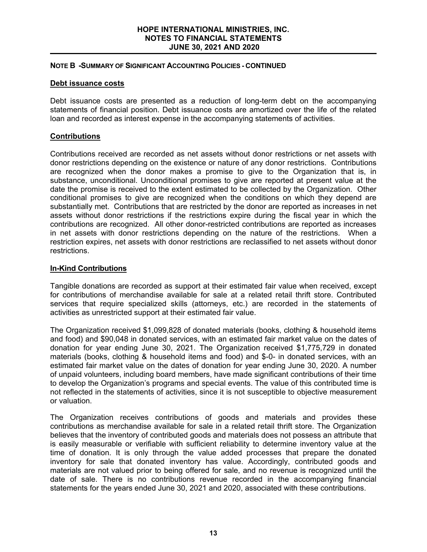## **NOTE B****-SUMMARY OF SIGNIFICANT ACCOUNTING POLICIES - CONTINUED**

# **Debt issuance costs**

Debt issuance costs are presented as a reduction of long-term debt on the accompanying statements of financial position. Debt issuance costs are amortized over the life of the related loan and recorded as interest expense in the accompanying statements of activities.

# **Contributions**

Contributions received are recorded as net assets without donor restrictions or net assets with donor restrictions depending on the existence or nature of any donor restrictions. Contributions are recognized when the donor makes a promise to give to the Organization that is, in substance, unconditional. Unconditional promises to give are reported at present value at the date the promise is received to the extent estimated to be collected by the Organization. Other conditional promises to give are recognized when the conditions on which they depend are substantially met. Contributions that are restricted by the donor are reported as increases in net assets without donor restrictions if the restrictions expire during the fiscal year in which the contributions are recognized. All other donor-restricted contributions are reported as increases in net assets with donor restrictions depending on the nature of the restrictions. When a restriction expires, net assets with donor restrictions are reclassified to net assets without donor restrictions.

# **In-Kind Contributions**

Tangible donations are recorded as support at their estimated fair value when received, except for contributions of merchandise available for sale at a related retail thrift store. Contributed services that require specialized skills (attorneys, etc.) are recorded in the statements of activities as unrestricted support at their estimated fair value.

The Organization received \$1,099,828 of donated materials (books, clothing & household items and food) and \$90,048 in donated services, with an estimated fair market value on the dates of donation for year ending June 30, 2021. The Organization received \$1,775,729 in donated materials (books, clothing & household items and food) and \$-0- in donated services, with an estimated fair market value on the dates of donation for year ending June 30, 2020. A number of unpaid volunteers, including board members, have made significant contributions of their time to develop the Organization's programs and special events. The value of this contributed time is not reflected in the statements of activities, since it is not susceptible to objective measurement or valuation.

The Organization receives contributions of goods and materials and provides these contributions as merchandise available for sale in a related retail thrift store. The Organization believes that the inventory of contributed goods and materials does not possess an attribute that is easily measurable or verifiable with sufficient reliability to determine inventory value at the time of donation. It is only through the value added processes that prepare the donated inventory for sale that donated inventory has value. Accordingly, contributed goods and materials are not valued prior to being offered for sale, and no revenue is recognized until the date of sale. There is no contributions revenue recorded in the accompanying financial statements for the years ended June 30, 2021 and 2020, associated with these contributions.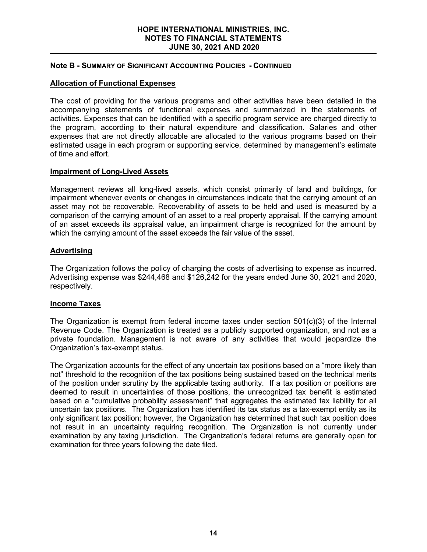#### **HOPE INTERNATIONAL MINISTRIES, INC. NOTES TO FINANCIAL STATEMENTS JUNE 30, 2021 AND 2020**

# **Note B - SUMMARY OF SIGNIFICANT ACCOUNTING POLICIES - CONTINUED**

# **Allocation of Functional Expenses**

The cost of providing for the various programs and other activities have been detailed in the accompanying statements of functional expenses and summarized in the statements of activities. Expenses that can be identified with a specific program service are charged directly to the program, according to their natural expenditure and classification. Salaries and other expenses that are not directly allocable are allocated to the various programs based on their estimated usage in each program or supporting service, determined by management's estimate of time and effort.

### **Impairment of Long-Lived Assets**

Management reviews all long-lived assets, which consist primarily of land and buildings, for impairment whenever events or changes in circumstances indicate that the carrying amount of an asset may not be recoverable. Recoverability of assets to be held and used is measured by a comparison of the carrying amount of an asset to a real property appraisal. If the carrying amount of an asset exceeds its appraisal value, an impairment charge is recognized for the amount by which the carrying amount of the asset exceeds the fair value of the asset.

# **Advertising**

The Organization follows the policy of charging the costs of advertising to expense as incurred. Advertising expense was \$244,468 and \$126,242 for the years ended June 30, 2021 and 2020, respectively.

### **Income Taxes**

The Organization is exempt from federal income taxes under section  $501(c)(3)$  of the Internal Revenue Code. The Organization is treated as a publicly supported organization, and not as a private foundation. Management is not aware of any activities that would jeopardize the Organization's tax-exempt status.

The Organization accounts for the effect of any uncertain tax positions based on a "more likely than not" threshold to the recognition of the tax positions being sustained based on the technical merits of the position under scrutiny by the applicable taxing authority. If a tax position or positions are deemed to result in uncertainties of those positions, the unrecognized tax benefit is estimated based on a "cumulative probability assessment" that aggregates the estimated tax liability for all uncertain tax positions. The Organization has identified its tax status as a tax-exempt entity as its only significant tax position; however, the Organization has determined that such tax position does not result in an uncertainty requiring recognition. The Organization is not currently under examination by any taxing jurisdiction. The Organization's federal returns are generally open for examination for three years following the date filed.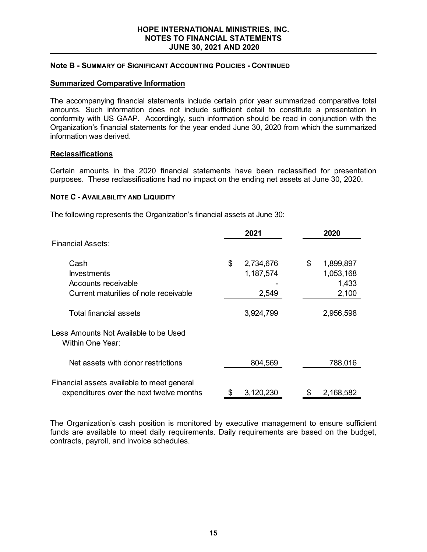#### **HOPE INTERNATIONAL MINISTRIES, INC. NOTES TO FINANCIAL STATEMENTS JUNE 30, 2021 AND 2020**

# **Note B - SUMMARY OF SIGNIFICANT ACCOUNTING POLICIES - CONTINUED**

# **Summarized Comparative Information**

The accompanying financial statements include certain prior year summarized comparative total amounts. Such information does not include sufficient detail to constitute a presentation in conformity with US GAAP. Accordingly, such information should be read in conjunction with the Organization's financial statements for the year ended June 30, 2020 from which the summarized information was derived.

### **Reclassifications**

Certain amounts in the 2020 financial statements have been reclassified for presentation purposes. These reclassifications had no impact on the ending net assets at June 30, 2020.

### **NOTE C - AVAILABILITY AND LIQUIDITY**

The following represents the Organization's financial assets at June 30:

|                                                                                        | 2021            | 2020            |
|----------------------------------------------------------------------------------------|-----------------|-----------------|
| <b>Financial Assets:</b>                                                               |                 |                 |
| Cash                                                                                   | \$<br>2,734,676 | \$<br>1,899,897 |
| <b>Investments</b>                                                                     | 1,187,574       | 1,053,168       |
| Accounts receivable                                                                    |                 | 1,433           |
| Current maturities of note receivable                                                  | 2,549           | 2,100           |
| <b>Total financial assets</b>                                                          | 3,924,799       | 2,956,598       |
| Less Amounts Not Available to be Used<br><b>Within One Year:</b>                       |                 |                 |
| Net assets with donor restrictions                                                     | 804,569         | 788,016         |
| Financial assets available to meet general<br>expenditures over the next twelve months | 3,120,230<br>\$ | 2,168,582<br>\$ |

The Organization's cash position is monitored by executive management to ensure sufficient funds are available to meet daily requirements. Daily requirements are based on the budget, contracts, payroll, and invoice schedules.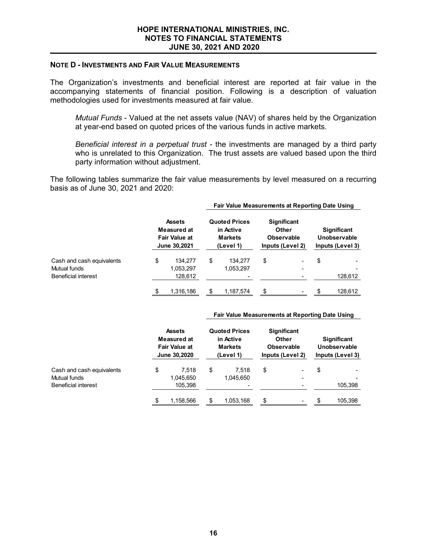#### **NOTE D - INVESTMENTS AND FAIR VALUE MEASUREMENTS**

The Organization's investments and beneficial interest are reported at fair value in the accompanying statements of financial position. Following is a description of valuation methodologies used for investments measured at fair value.

*Mutual Funds* - Valued at the net assets value (NAV) of shares held by the Organization at year-end based on quoted prices of the various funds in active markets.

*Beneficial interest in a perpetual trust* - the investments are managed by a third party who is unrelated to this Organization. The trust assets are valued based upon the third party information without adjustment.

The following tables summarize the fair value measurements by level measured on a recurring basis as of June 30, 2021 and 2020:

|                                                                         |                                                                      |                                 | Fair value measurements at Reporting Date Using                  |                                                               |                                                           |                                                        |              |
|-------------------------------------------------------------------------|----------------------------------------------------------------------|---------------------------------|------------------------------------------------------------------|---------------------------------------------------------------|-----------------------------------------------------------|--------------------------------------------------------|--------------|
|                                                                         | <b>Assets</b><br>Measured at<br><b>Fair Value at</b><br>June 30,2021 |                                 | <b>Quoted Prices</b><br>in Active<br><b>Markets</b><br>(Level 1) | <b>Significant</b><br>Other<br>Observable<br>Inputs (Level 2) |                                                           | <b>Significant</b><br>Unobservable<br>Inputs (Level 3) |              |
| Cash and cash equivalents<br>Mutual funds<br><b>Beneficial interest</b> | \$                                                                   | 134.277<br>1,053,297<br>128,612 | \$<br>134,277<br>1,053,297<br>-                                  | \$                                                            | ٠<br>$\overline{\phantom{0}}$<br>$\overline{\phantom{0}}$ | \$                                                     | -<br>128,612 |
|                                                                         | \$                                                                   | 1.316.186                       | \$<br>1,187,574                                                  | \$                                                            | ۰                                                         | \$                                                     | 128.612      |

#### **Fair Value Measurements at Reporting Date Using**

**Fair Value Measurements at Reporting Date Using**

|                                                                         | <b>Assets</b><br>Measured at<br><b>Fair Value at</b><br>June 30,2020 |    | <b>Quoted Prices</b><br>in Active<br><b>Markets</b><br>(Level 1) |    | <b>Significant</b><br>Other<br>Observable<br>Inputs (Level 2) |    | <b>Significant</b><br>Unobservable<br>Inputs (Level 3) |  |
|-------------------------------------------------------------------------|----------------------------------------------------------------------|----|------------------------------------------------------------------|----|---------------------------------------------------------------|----|--------------------------------------------------------|--|
| Cash and cash equivalents<br>Mutual funds<br><b>Beneficial interest</b> | \$<br>7.518<br>1,045,650<br>105,398                                  | \$ | 7.518<br>1.045.650                                               | \$ | $\overline{\phantom{0}}$<br>٠                                 | \$ | 105,398                                                |  |
|                                                                         | 1,158,566                                                            |    | 1,053,168                                                        | \$ |                                                               | \$ | 105,398                                                |  |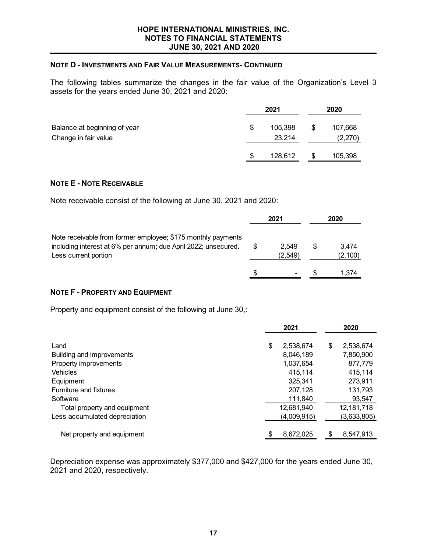### **NOTE D - INVESTMENTS AND FAIR VALUE MEASUREMENTS- CONTINUED**

The following tables summarize the changes in the fair value of the Organization's Level 3 assets for the years ended June 30, 2021 and 2020:

|                                                      | 2021 |                   |    | 2020               |  |  |
|------------------------------------------------------|------|-------------------|----|--------------------|--|--|
| Balance at beginning of year<br>Change in fair value | S    | 105,398<br>23,214 | \$ | 107,668<br>(2,270) |  |  |
|                                                      | S    | 128,612           | \$ | 105,398            |  |  |

#### **NOTE E - NOTE RECEIVABLE**

Note receivable consist of the following at June 30, 2021 and 2020:

|                                                                                                                                                        | 2021             |   | 2020              |
|--------------------------------------------------------------------------------------------------------------------------------------------------------|------------------|---|-------------------|
| Note receivable from former employee; \$175 monthly payments<br>including interest at 6% per annum; due April 2022; unsecured.<br>Less current portion | 2.549<br>(2.549) | S | 3.474<br>(2, 100) |
|                                                                                                                                                        | -                |   | 1.374             |

# **NOTE F - PROPERTY AND EQUIPMENT**

Property and equipment consist of the following at June 30,:

|                               | 2021             | 2020            |
|-------------------------------|------------------|-----------------|
| Land                          | \$<br>2,538,674  | 2,538,674<br>\$ |
| Building and improvements     | 8,046,189        | 7,850,900       |
| Property improvements         | 1,037,654        | 877,779         |
| <b>Vehicles</b>               | 415,114          | 415,114         |
| Equipment                     | 325,341          | 273,911         |
| Furniture and fixtures        | 207,128          | 131,793         |
| Software                      | 111,840          | 93,547          |
| Total property and equipment  | 12,681,940       | 12, 181, 718    |
| Less accumulated depreciation | (4,009,915)      | (3,633,805)     |
| Net property and equipment    | 8,672,025<br>\$. | 8,547,913       |

Depreciation expense was approximately \$377,000 and \$427,000 for the years ended June 30, 2021 and 2020, respectively.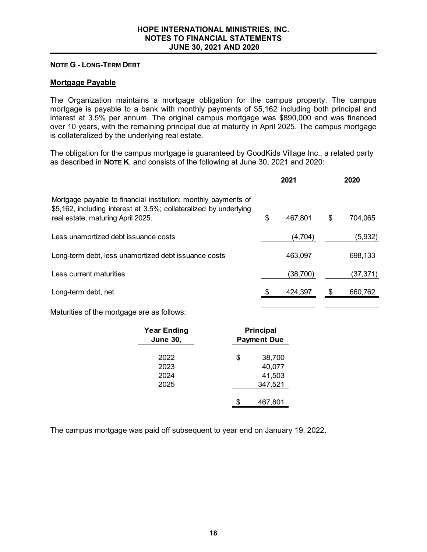#### **NOTE G - LONG-TERM DEBT**

## **Mortgage Payable**

The Organization maintains a mortgage obligation for the campus property. The campus mortgage is payable to a bank with monthly payments of \$5,162 including both principal and interest at 3.5% per annum. The original campus mortgage was \$890,000 and was financed over 10 years, with the remaining principal due at maturity in April 2025. The campus mortgage is collateralized by the underlying real estate.

The obligation for the campus mortgage is guaranteed by GoodKids Village Inc., a related party as described in **NOTE K**, and consists of the following at June 30, 2021 and 2020:

|                                                                                                                                                                          | 2021          | 2020          |
|--------------------------------------------------------------------------------------------------------------------------------------------------------------------------|---------------|---------------|
| Mortgage payable to financial institution; monthly payments of<br>\$5,162, including interest at 3.5%; collateralized by underlying<br>real estate; maturing April 2025. | \$<br>467,801 | \$<br>704,065 |
| Less unamortized debt issuance costs                                                                                                                                     | (4,704)       | (5,932)       |
| Long-term debt, less unamortized debt issuance costs                                                                                                                     | 463,097       | 698,133       |
| Less current maturities                                                                                                                                                  | (38,700)      | (37,371)      |
| Long-term debt, net                                                                                                                                                      | 424,397       | 660,762       |

Maturities of the mortgage are as follows:

| <b>Year Ending</b><br><b>June 30,</b> | <b>Principal</b><br><b>Payment Due</b>      |
|---------------------------------------|---------------------------------------------|
| 2022<br>2023<br>2024<br>2025          | 38,700<br>\$<br>40,077<br>41,503<br>347,521 |
|                                       | 467,801                                     |

The campus mortgage was paid off subsequent to year end on January 19, 2022.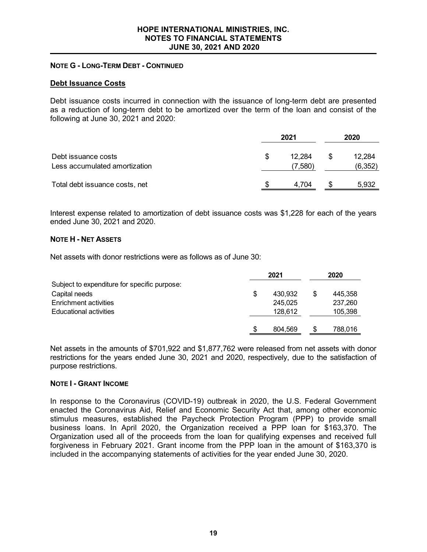# **NOTE G - LONG-TERM DEBT - CONTINUED**

### **Debt Issuance Costs**

Debt issuance costs incurred in connection with the issuance of long-term debt are presented as a reduction of long-term debt to be amortized over the term of the loan and consist of the following at June 30, 2021 and 2020:

|                                                      | 2021 |                   | 2020 |                    |
|------------------------------------------------------|------|-------------------|------|--------------------|
| Debt issuance costs<br>Less accumulated amortization |      | 12.284<br>(7,580) | S    | 12,284<br>(6, 352) |
| Total debt issuance costs, net                       |      | 4.704             | S    | 5,932              |

Interest expense related to amortization of debt issuance costs was \$1,228 for each of the years ended June 30, 2021 and 2020.

### **NOTE H - NET ASSETS**

Net assets with donor restrictions were as follows as of June 30:

|                                              |   | 2021    |   | 2020    |  |
|----------------------------------------------|---|---------|---|---------|--|
| Subject to expenditure for specific purpose: |   |         |   |         |  |
| Capital needs                                | S | 430.932 | S | 445.358 |  |
| Enrichment activities                        |   | 245,025 |   | 237,260 |  |
| Educational activities                       |   | 128,612 |   | 105,398 |  |
|                                              |   |         |   |         |  |
|                                              | S | 804.569 |   | 788,016 |  |

Net assets in the amounts of \$701,922 and \$1,877,762 were released from net assets with donor restrictions for the years ended June 30, 2021 and 2020, respectively, due to the satisfaction of purpose restrictions.

### **NOTE I - GRANT INCOME**

In response to the Coronavirus (COVID-19) outbreak in 2020, the U.S. Federal Government enacted the Coronavirus Aid, Relief and Economic Security Act that, among other economic stimulus measures, established the Paycheck Protection Program (PPP) to provide small business loans. In April 2020, the Organization received a PPP loan for \$163,370. The Organization used all of the proceeds from the loan for qualifying expenses and received full forgiveness in February 2021. Grant income from the PPP loan in the amount of \$163,370 is included in the accompanying statements of activities for the year ended June 30, 2020.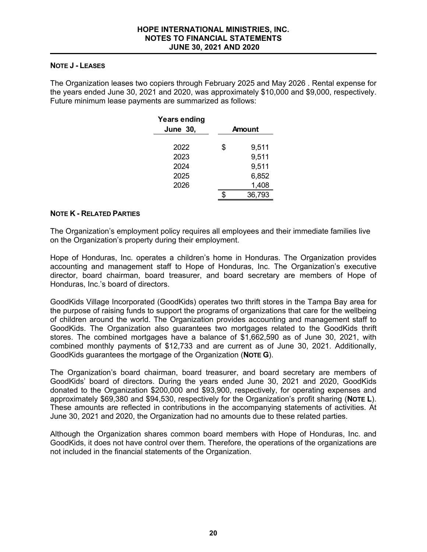## **NOTE J - LEASES**

The Organization leases two copiers through February 2025 and May 2026 . Rental expense for the years ended June 30, 2021 and 2020, was approximately \$10,000 and \$9,000, respectively. Future minimum lease payments are summarized as follows:

| <b>Years ending</b><br><b>June 30,</b> | Amount      |
|----------------------------------------|-------------|
| 2022                                   | \$<br>9,511 |
| 2023                                   | 9,511       |
| 2024                                   | 9,511       |
| 2025                                   | 6,852       |
| 2026                                   | 1,408       |
|                                        | 36,793      |

# **NOTE K - RELATED PARTIES**

The Organization's employment policy requires all employees and their immediate families live on the Organization's property during their employment.

Hope of Honduras, Inc. operates a children's home in Honduras. The Organization provides accounting and management staff to Hope of Honduras, Inc. The Organization's executive director, board chairman, board treasurer, and board secretary are members of Hope of Honduras, Inc.'s board of directors.

GoodKids Village Incorporated (GoodKids) operates two thrift stores in the Tampa Bay area for the purpose of raising funds to support the programs of organizations that care for the wellbeing of children around the world. The Organization provides accounting and management staff to GoodKids. The Organization also guarantees two mortgages related to the GoodKids thrift stores. The combined mortgages have a balance of \$1,662,590 as of June 30, 2021, with combined monthly payments of \$12,733 and are current as of June 30, 2021. Additionally, GoodKids guarantees the mortgage of the Organization (**NOTE G**).

The Organization's board chairman, board treasurer, and board secretary are members of GoodKids' board of directors. During the years ended June 30, 2021 and 2020, GoodKids donated to the Organization \$200,000 and \$93,900, respectively, for operating expenses and approximately \$69,380 and \$94,530, respectively for the Organization's profit sharing (**NOTE L**). These amounts are reflected in contributions in the accompanying statements of activities. At June 30, 2021 and 2020, the Organization had no amounts due to these related parties.

Although the Organization shares common board members with Hope of Honduras, Inc. and GoodKids, it does not have control over them. Therefore, the operations of the organizations are not included in the financial statements of the Organization.